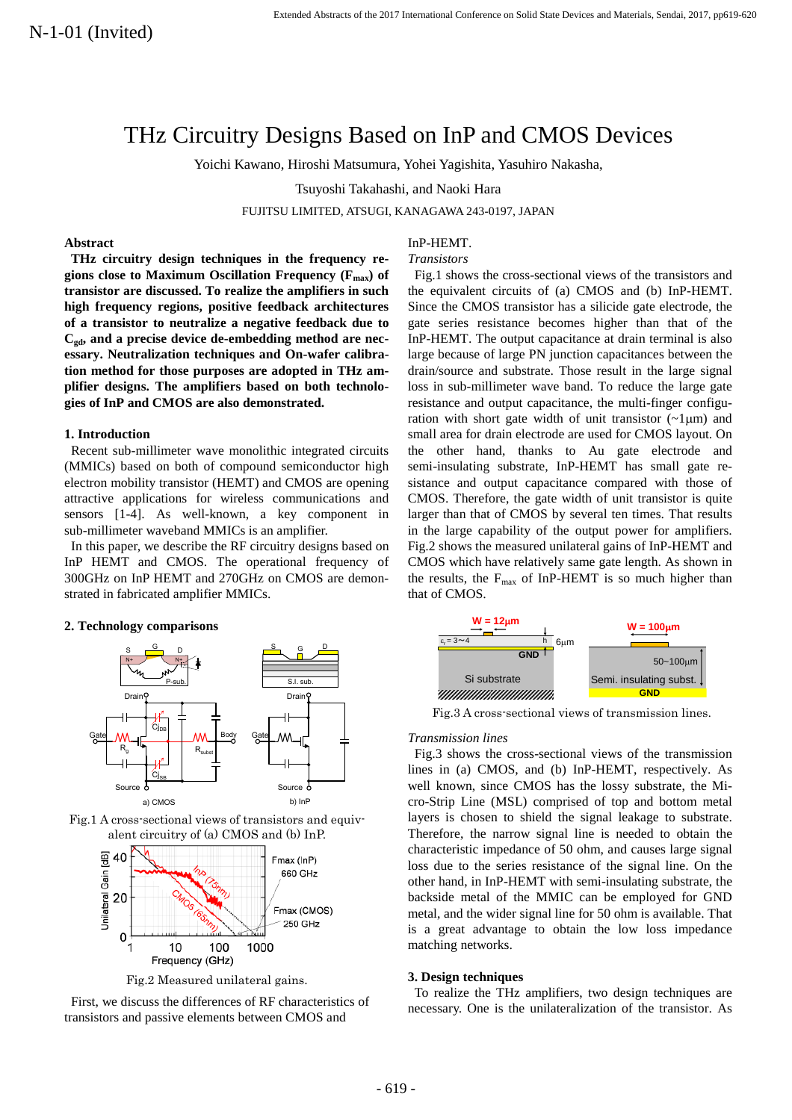# THz Circuitry Designs Based on InP and CMOS Devices

Yoichi Kawano, Hiroshi Matsumura, Yohei Yagishita, Yasuhiro Nakasha,

Tsuyoshi Takahashi, and Naoki Hara

FUJITSU LIMITED, ATSUGI, KANAGAWA 243-0197, JAPAN

## **Abstract**

**THz circuitry design techniques in the frequency regions close to Maximum Oscillation Frequency (Fmax) of transistor are discussed. To realize the amplifiers in such high frequency regions, positive feedback architectures of a transistor to neutralize a negative feedback due to Cgd, and a precise device de-embedding method are necessary. Neutralization techniques and On-wafer calibration method for those purposes are adopted in THz amplifier designs. The amplifiers based on both technologies of InP and CMOS are also demonstrated.** 

## **1. Introduction**

Recent sub-millimeter wave monolithic integrated circuits (MMICs) based on both of compound semiconductor high electron mobility transistor (HEMT) and CMOS are opening attractive applications for wireless communications and sensors [1-4]. As well-known, a key component in sub-millimeter waveband MMICs is an amplifier.

In this paper, we describe the RF circuitry designs based on InP HEMT and CMOS. The operational frequency of 300GHz on InP HEMT and 270GHz on CMOS are demonstrated in fabricated amplifier MMICs.

### **2. Technology comparisons**







Fig.2 Measured unilateral gains.

 First, we discuss the differences of RF characteristics of transistors and passive elements between CMOS and

## InP-HEMT.

#### *Transistors*

 Fig.1 shows the cross-sectional views of the transistors and the equivalent circuits of (a) CMOS and (b) InP-HEMT. Since the CMOS transistor has a silicide gate electrode, the gate series resistance becomes higher than that of the InP-HEMT. The output capacitance at drain terminal is also large because of large PN junction capacitances between the drain/source and substrate. Those result in the large signal loss in sub-millimeter wave band. To reduce the large gate resistance and output capacitance, the multi-finger configuration with short gate width of unit transistor  $(-1 \mu m)$  and small area for drain electrode are used for CMOS layout. On the other hand, thanks to Au gate electrode and semi-insulating substrate, InP-HEMT has small gate resistance and output capacitance compared with those of CMOS. Therefore, the gate width of unit transistor is quite larger than that of CMOS by several ten times. That results in the large capability of the output power for amplifiers. Fig.2 shows the measured unilateral gains of InP-HEMT and CMOS which have relatively same gate length. As shown in the results, the  $F_{\text{max}}$  of InP-HEMT is so much higher than that of CMOS.



Fig.3 A cross-sectional views of transmission lines.

#### *Transmission lines*

 Fig.3 shows the cross-sectional views of the transmission lines in (a) CMOS, and (b) InP-HEMT, respectively. As well known, since CMOS has the lossy substrate, the Micro-Strip Line (MSL) comprised of top and bottom metal layers is chosen to shield the signal leakage to substrate. Therefore, the narrow signal line is needed to obtain the characteristic impedance of 50 ohm, and causes large signal loss due to the series resistance of the signal line. On the other hand, in InP-HEMT with semi-insulating substrate, the backside metal of the MMIC can be employed for GND metal, and the wider signal line for 50 ohm is available. That is a great advantage to obtain the low loss impedance matching networks.

#### **3. Design techniques**

To realize the THz amplifiers, two design techniques are necessary. One is the unilateralization of the transistor. As